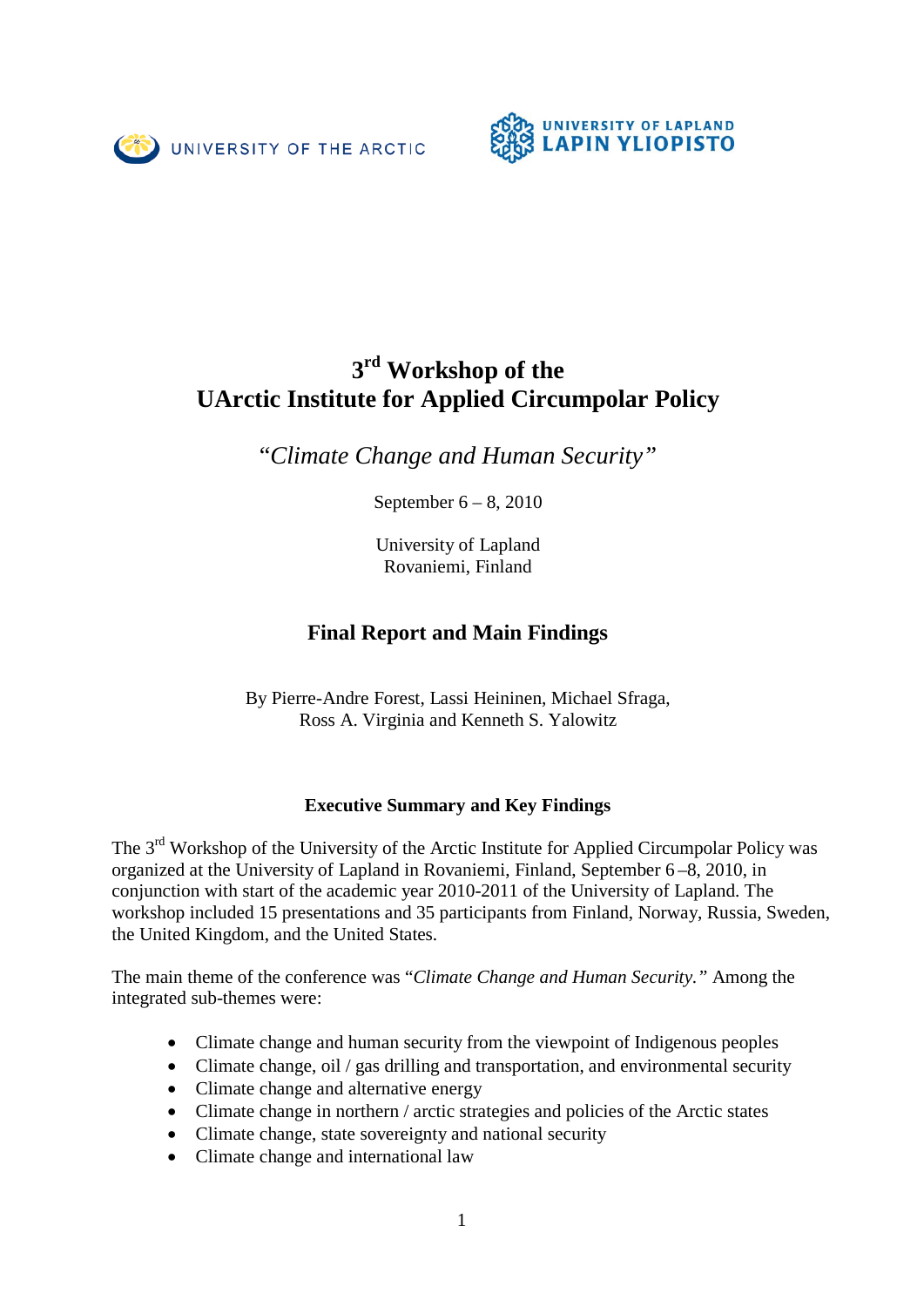



# **3rd Workshop of the UArctic Institute for Applied Circumpolar Policy**

"*Climate Change and Human Security"*

September 6 – 8, 2010

University of Lapland Rovaniemi, Finland

# **Final Report and Main Findings**

By Pierre-Andre Forest, Lassi Heininen, Michael Sfraga, Ross A. Virginia and Kenneth S. Yalowitz

# **Executive Summary and Key Findings**

The 3<sup>rd</sup> Workshop of the University of the Arctic Institute for Applied Circumpolar Policy was organized at the University of Lapland in Rovaniemi, Finland, September 6 –8, 2010, in conjunction with start of the academic year 2010-2011 of the University of Lapland. The workshop included 15 presentations and 35 participants from Finland, Norway, Russia, Sweden, the United Kingdom, and the United States.

The main theme of the conference was "*Climate Change and Human Security."* Among the integrated sub-themes were:

- Climate change and human security from the viewpoint of Indigenous peoples
- Climate change, oil / gas drilling and transportation, and environmental security
- Climate change and alternative energy
- Climate change in northern / arctic strategies and policies of the Arctic states
- Climate change, state sovereignty and national security
- Climate change and international law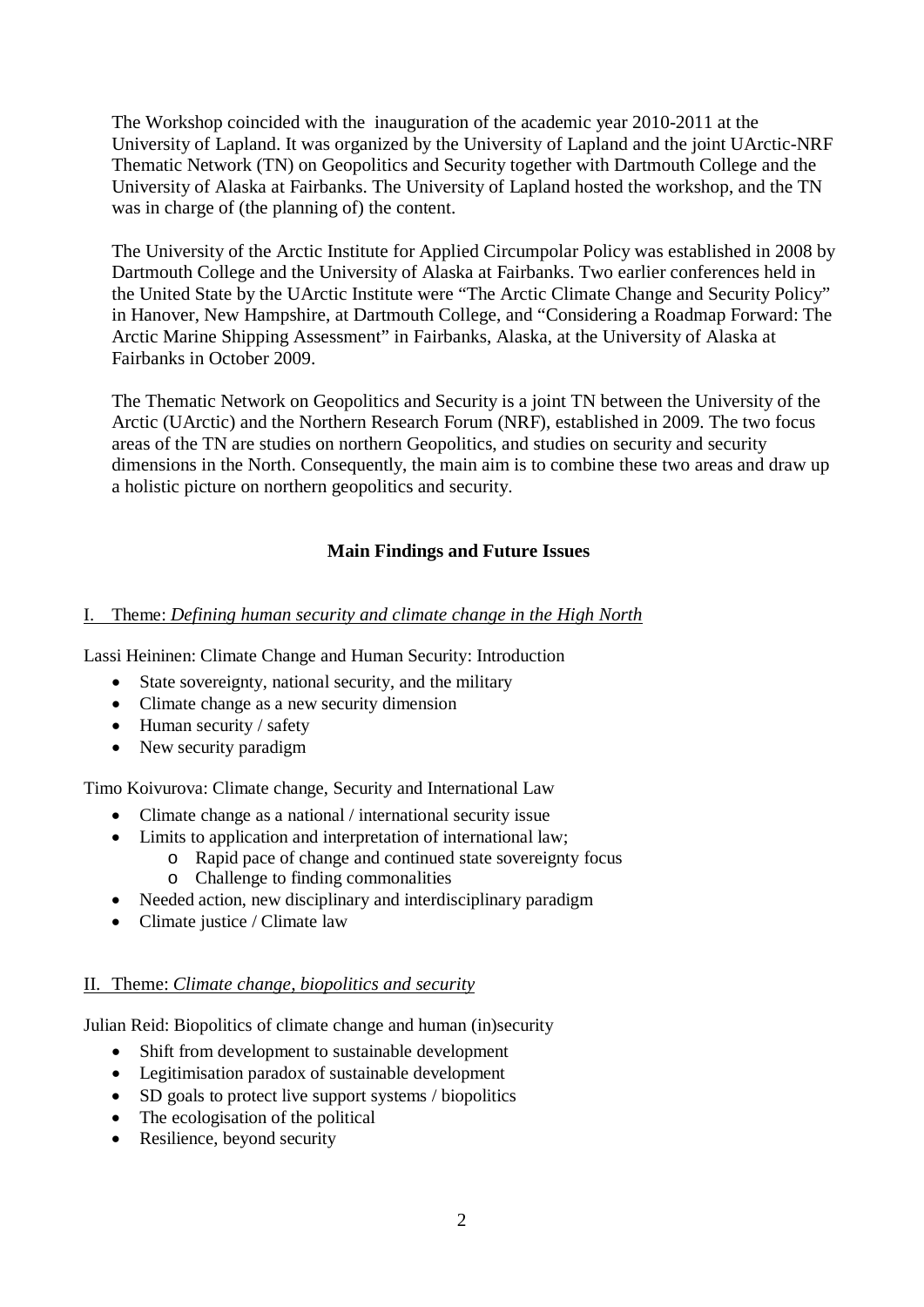The Workshop coincided with the inauguration of the academic year 2010-2011 at the University of Lapland. It was organized by the University of Lapland and the joint UArctic-NRF Thematic Network (TN) on Geopolitics and Security together with Dartmouth College and the University of Alaska at Fairbanks. The University of Lapland hosted the workshop, and the TN was in charge of (the planning of) the content.

The University of the Arctic Institute for Applied Circumpolar Policy was established in 2008 by Dartmouth College and the University of Alaska at Fairbanks. Two earlier conferences held in the United State by the UArctic Institute were "The Arctic Climate Change and Security Policy" in Hanover, New Hampshire, at Dartmouth College, and "Considering a Roadmap Forward: The Arctic Marine Shipping Assessment" in Fairbanks, Alaska, at the University of Alaska at Fairbanks in October 2009.

The Thematic Network on Geopolitics and Security is a joint TN between the University of the Arctic (UArctic) and the Northern Research Forum (NRF), established in 2009. The two focus areas of the TN are studies on northern Geopolitics, and studies on security and security dimensions in the North. Consequently, the main aim is to combine these two areas and draw up a holistic picture on northern geopolitics and security.

# **Main Findings and Future Issues**

# I. Theme: *Defining human security and climate change in the High North*

Lassi Heininen: Climate Change and Human Security: Introduction

- State sovereignty, national security, and the military
- Climate change as a new security dimension
- Human security / safety
- New security paradigm

Timo Koivurova: Climate change, Security and International Law

- Climate change as a national / international security issue
- Limits to application and interpretation of international law;
	- o Rapid pace of change and continued state sovereignty focus
	- o Challenge to finding commonalities
- Needed action, new disciplinary and interdisciplinary paradigm
- Climate justice / Climate law

# II. Theme: *Climate change, biopolitics and security*

Julian Reid: Biopolitics of climate change and human (in)security

- Shift from development to sustainable development
- Legitimisation paradox of sustainable development
- SD goals to protect live support systems / biopolitics
- The ecologisation of the political
- Resilience, beyond security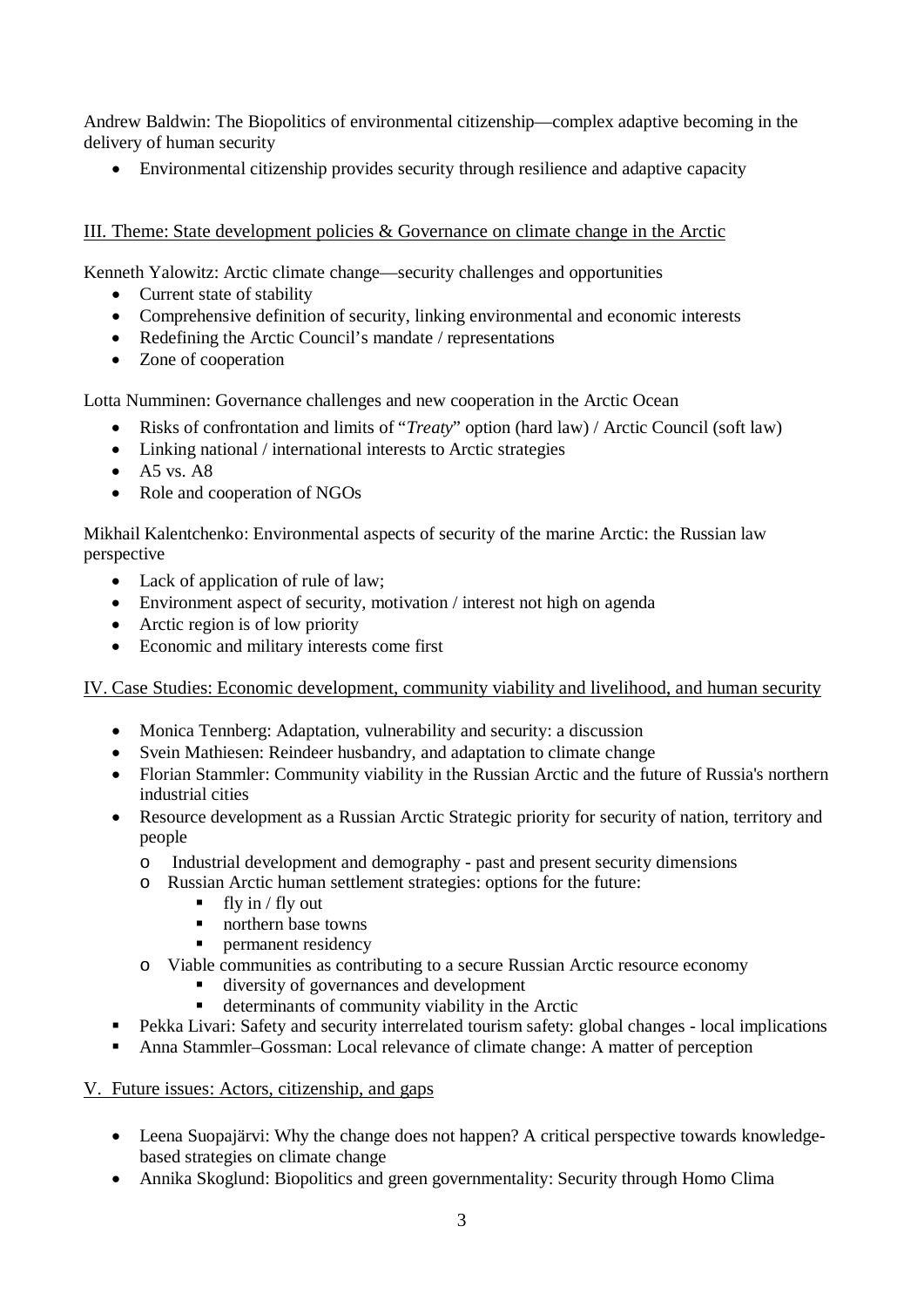Andrew Baldwin: The Biopolitics of environmental citizenship—complex adaptive becoming in the delivery of human security

• Environmental citizenship provides security through resilience and adaptive capacity

# III. Theme: State development policies & Governance on climate change in the Arctic

Kenneth Yalowitz: Arctic climate change—security challenges and opportunities

- Current state of stability
- Comprehensive definition of security, linking environmental and economic interests
- Redefining the Arctic Council's mandate / representations
- Zone of cooperation

Lotta Numminen: Governance challenges and new cooperation in the Arctic Ocean

- Risks of confrontation and limits of "*Treaty*" option (hard law) / Arctic Council (soft law)
- Linking national / international interests to Arctic strategies
- $\bullet$  A5 vs. A8
- Role and cooperation of NGOs

Mikhail Kalentchenko: Environmental aspects of security of the marine Arctic: the Russian law perspective

- Lack of application of rule of law;
- Environment aspect of security, motivation / interest not high on agenda
- Arctic region is of low priority
- Economic and military interests come first

# IV. Case Studies: Economic development, community viability and livelihood, and human security

- Monica Tennberg: Adaptation, vulnerability and security: a discussion
- Svein Mathiesen: Reindeer husbandry, and adaptation to climate change
- Florian Stammler: Community viability in the Russian Arctic and the future of Russia's northern industrial cities
- Resource development as a Russian Arctic Strategic priority for security of nation, territory and people
	- o Industrial development and demography past and present security dimensions
	- o Russian Arctic human settlement strategies: options for the future:
		- $\blacksquare$  fly in / fly out
		- northern base towns
		- **Permanent residency**
	- o Viable communities as contributing to a secure Russian Arctic resource economy
		- diversity of governances and development
		- determinants of community viability in the Arctic
- Pekka Livari: Safety and security interrelated tourism safety: global changes local implications
- Anna Stammler–Gossman: Local relevance of climate change: A matter of perception

# V. Future issues: Actors, citizenship, and gaps

- Leena Suopajärvi: Why the change does not happen? A critical perspective towards knowledgebased strategies on climate change
- Annika Skoglund: Biopolitics and green governmentality: Security through Homo Clima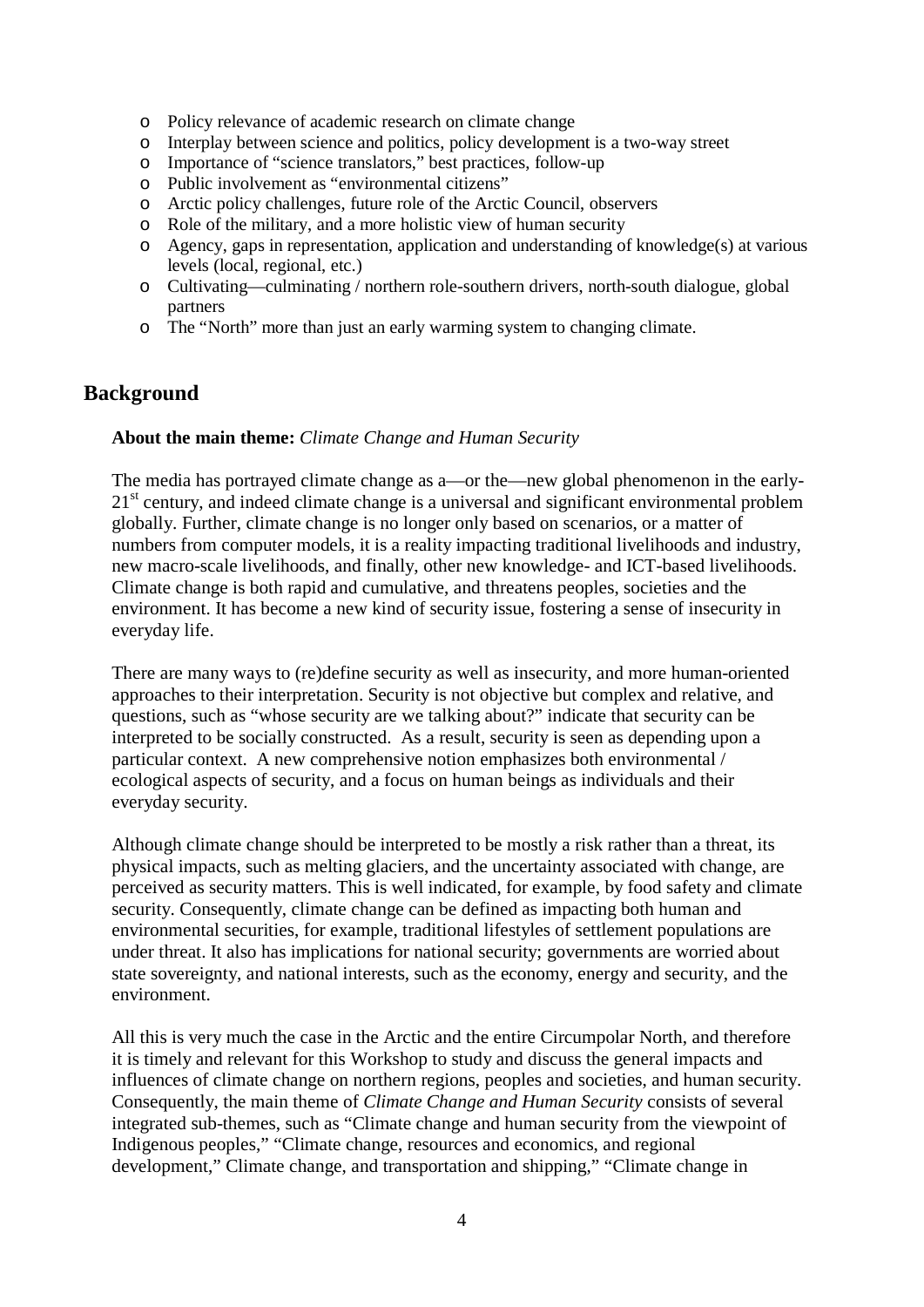- o Policy relevance of academic research on climate change
- o Interplay between science and politics, policy development is a two-way street
- o Importance of "science translators," best practices, follow-up
- Public involvement as "environmental citizens"
- o Arctic policy challenges, future role of the Arctic Council, observers
- o Role of the military, and a more holistic view of human security
- o Agency, gaps in representation, application and understanding of knowledge(s) at various levels (local, regional, etc.)
- o Cultivating—culminating / northern role-southern drivers, north-south dialogue, global partners
- o The "North" more than just an early warming system to changing climate.

# **Background**

#### **About the main theme:** *Climate Change and Human Security*

The media has portrayed climate change as a—or the—new global phenomenon in the early- $21<sup>st</sup>$  century, and indeed climate change is a universal and significant environmental problem globally. Further, climate change is no longer only based on scenarios, or a matter of numbers from computer models, it is a reality impacting traditional livelihoods and industry, new macro-scale livelihoods, and finally, other new knowledge- and ICT-based livelihoods. Climate change is both rapid and cumulative, and threatens peoples, societies and the environment. It has become a new kind of security issue, fostering a sense of insecurity in everyday life.

There are many ways to (re)define security as well as insecurity, and more human-oriented approaches to their interpretation. Security is not objective but complex and relative, and questions, such as "whose security are we talking about?" indicate that security can be interpreted to be socially constructed. As a result, security is seen as depending upon a particular context. A new comprehensive notion emphasizes both environmental / ecological aspects of security, and a focus on human beings as individuals and their everyday security.

Although climate change should be interpreted to be mostly a risk rather than a threat, its physical impacts, such as melting glaciers, and the uncertainty associated with change, are perceived as security matters. This is well indicated, for example, by food safety and climate security. Consequently, climate change can be defined as impacting both human and environmental securities, for example, traditional lifestyles of settlement populations are under threat. It also has implications for national security; governments are worried about state sovereignty, and national interests, such as the economy, energy and security, and the environment.

All this is very much the case in the Arctic and the entire Circumpolar North, and therefore it is timely and relevant for this Workshop to study and discuss the general impacts and influences of climate change on northern regions, peoples and societies, and human security. Consequently, the main theme of *Climate Change and Human Security* consists of several integrated sub-themes, such as "Climate change and human security from the viewpoint of Indigenous peoples," "Climate change, resources and economics, and regional development," Climate change, and transportation and shipping," "Climate change in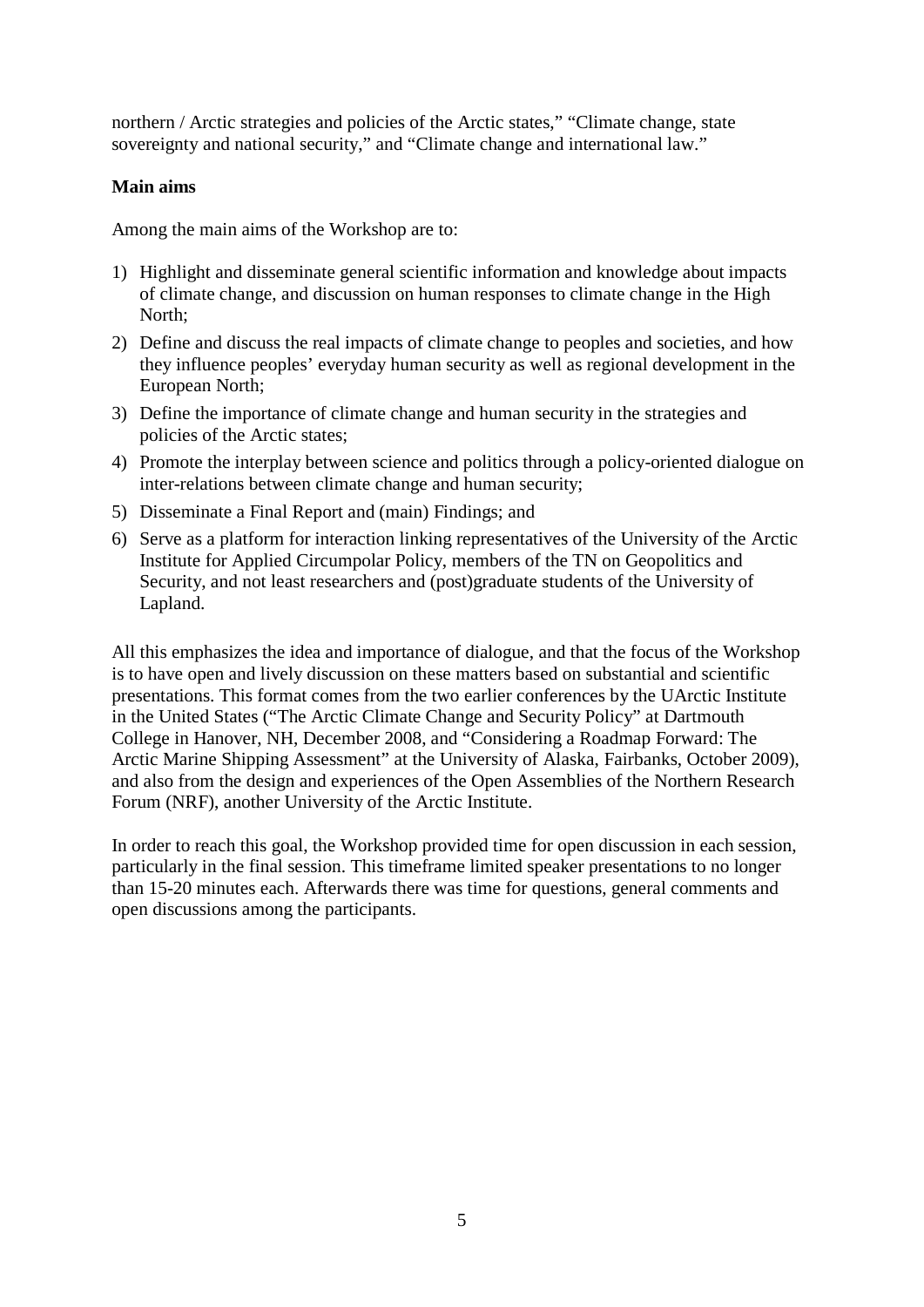northern / Arctic strategies and policies of the Arctic states," "Climate change, state sovereignty and national security," and "Climate change and international law."

### **Main aims**

Among the main aims of the Workshop are to:

- 1) Highlight and disseminate general scientific information and knowledge about impacts of climate change, and discussion on human responses to climate change in the High North;
- 2) Define and discuss the real impacts of climate change to peoples and societies, and how they influence peoples' everyday human security as well as regional development in the European North;
- 3) Define the importance of climate change and human security in the strategies and policies of the Arctic states;
- 4) Promote the interplay between science and politics through a policy-oriented dialogue on inter-relations between climate change and human security;
- 5) Disseminate a Final Report and (main) Findings; and
- 6) Serve as a platform for interaction linking representatives of the University of the Arctic Institute for Applied Circumpolar Policy, members of the TN on Geopolitics and Security, and not least researchers and (post)graduate students of the University of Lapland.

All this emphasizes the idea and importance of dialogue, and that the focus of the Workshop is to have open and lively discussion on these matters based on substantial and scientific presentations. This format comes from the two earlier conferences by the UArctic Institute in the United States ("The Arctic Climate Change and Security Policy" at Dartmouth College in Hanover, NH, December 2008, and "Considering a Roadmap Forward: The Arctic Marine Shipping Assessment" at the University of Alaska, Fairbanks, October 2009), and also from the design and experiences of the Open Assemblies of the Northern Research Forum (NRF), another University of the Arctic Institute.

In order to reach this goal, the Workshop provided time for open discussion in each session, particularly in the final session. This timeframe limited speaker presentations to no longer than 15-20 minutes each. Afterwards there was time for questions, general comments and open discussions among the participants.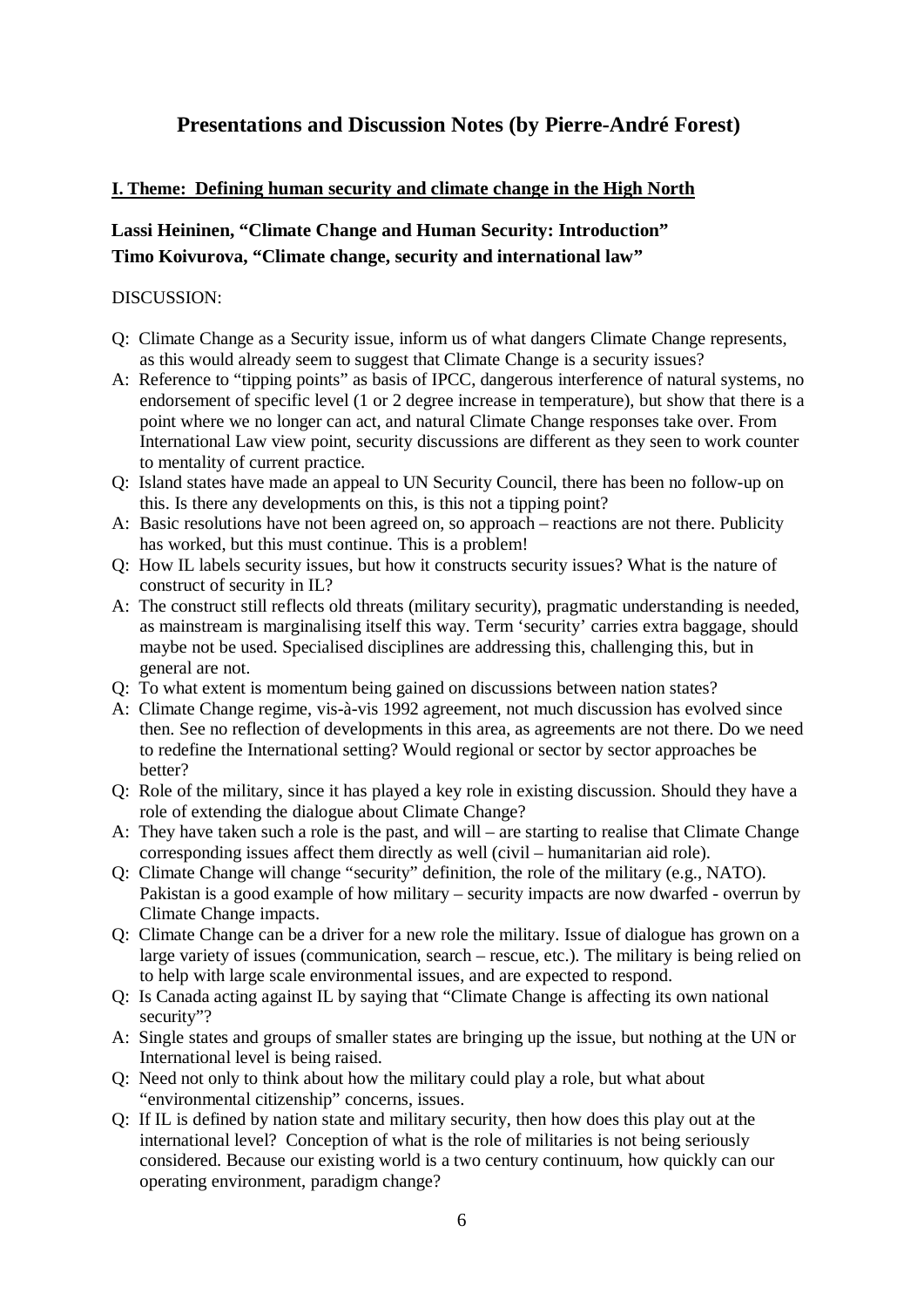# **Presentations and Discussion Notes (by Pierre-André Forest)**

### **I. Theme: Defining human security and climate change in the High North**

# **Lassi Heininen, "Climate Change and Human Security: Introduction" Timo Koivurova, "Climate change, security and international law"**

#### DISCUSSION:

- Q: Climate Change as a Security issue, inform us of what dangers Climate Change represents, as this would already seem to suggest that Climate Change is a security issues?
- A: Reference to "tipping points" as basis of IPCC, dangerous interference of natural systems, no endorsement of specific level (1 or 2 degree increase in temperature), but show that there is a point where we no longer can act, and natural Climate Change responses take over. From International Law view point, security discussions are different as they seen to work counter to mentality of current practice.
- Q: Island states have made an appeal to UN Security Council, there has been no follow-up on this. Is there any developments on this, is this not a tipping point?
- A: Basic resolutions have not been agreed on, so approach reactions are not there. Publicity has worked, but this must continue. This is a problem!
- Q: How IL labels security issues, but how it constructs security issues? What is the nature of construct of security in IL?
- A: The construct still reflects old threats (military security), pragmatic understanding is needed, as mainstream is marginalising itself this way. Term 'security' carries extra baggage, should maybe not be used. Specialised disciplines are addressing this, challenging this, but in general are not.
- Q: To what extent is momentum being gained on discussions between nation states?
- A: Climate Change regime, vis-à-vis 1992 agreement, not much discussion has evolved since then. See no reflection of developments in this area, as agreements are not there. Do we need to redefine the International setting? Would regional or sector by sector approaches be better?
- Q: Role of the military, since it has played a key role in existing discussion. Should they have a role of extending the dialogue about Climate Change?
- A: They have taken such a role is the past, and will are starting to realise that Climate Change corresponding issues affect them directly as well (civil – humanitarian aid role).
- Q: Climate Change will change "security" definition, the role of the military (e.g., NATO). Pakistan is a good example of how military – security impacts are now dwarfed - overrun by Climate Change impacts.
- Q: Climate Change can be a driver for a new role the military. Issue of dialogue has grown on a large variety of issues (communication, search – rescue, etc.). The military is being relied on to help with large scale environmental issues, and are expected to respond.
- Q: Is Canada acting against IL by saying that "Climate Change is affecting its own national security"?
- A: Single states and groups of smaller states are bringing up the issue, but nothing at the UN or International level is being raised.
- Q: Need not only to think about how the military could play a role, but what about "environmental citizenship" concerns, issues.
- Q: If IL is defined by nation state and military security, then how does this play out at the international level? Conception of what is the role of militaries is not being seriously considered. Because our existing world is a two century continuum, how quickly can our operating environment, paradigm change?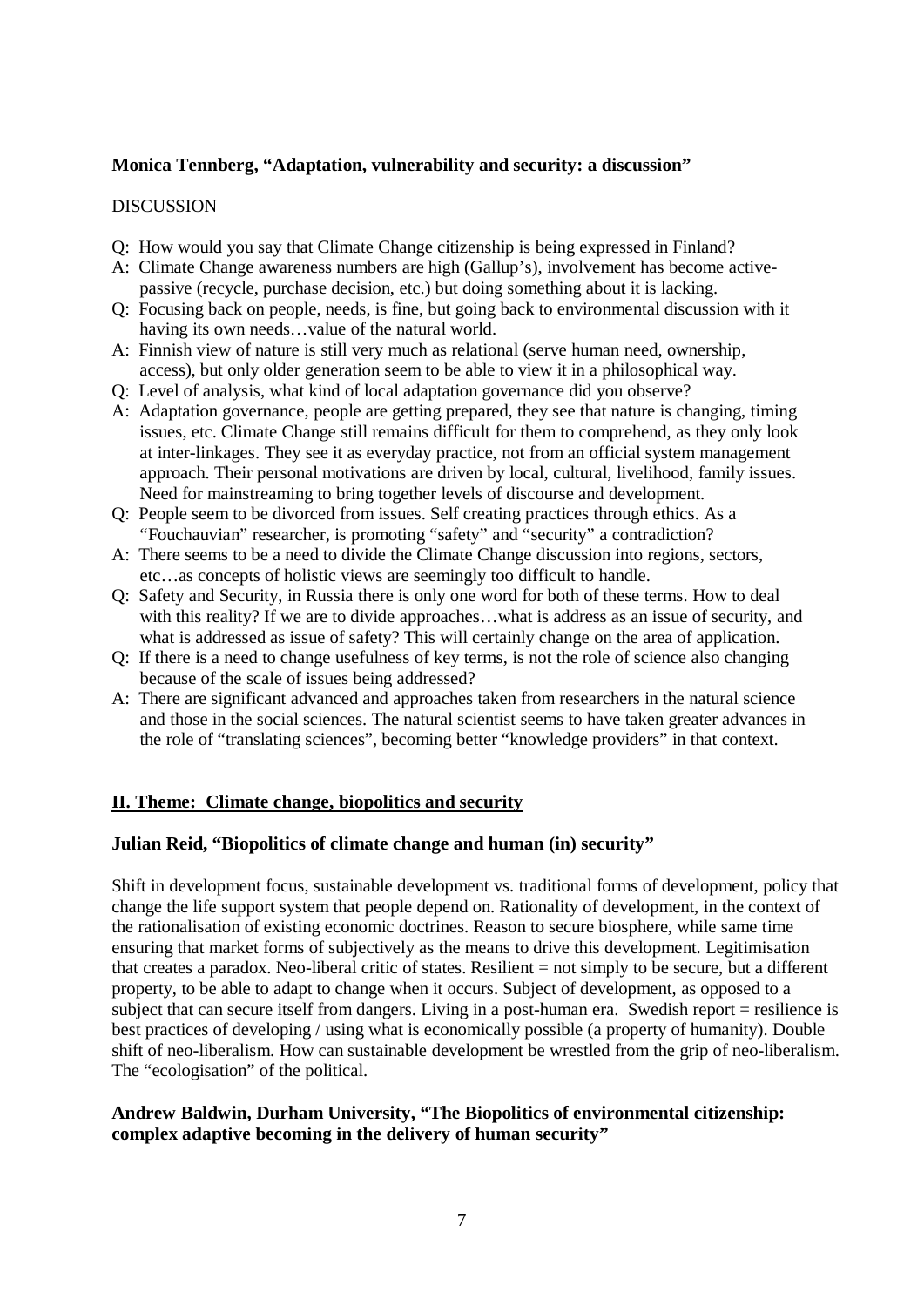### **Monica Tennberg, "Adaptation, vulnerability and security: a discussion"**

#### DISCUSSION

- Q: How would you say that Climate Change citizenship is being expressed in Finland?
- A: Climate Change awareness numbers are high (Gallup's), involvement has become activepassive (recycle, purchase decision, etc.) but doing something about it is lacking.
- Q: Focusing back on people, needs, is fine, but going back to environmental discussion with it having its own needs…value of the natural world.
- A: Finnish view of nature is still very much as relational (serve human need, ownership, access), but only older generation seem to be able to view it in a philosophical way.
- Q: Level of analysis, what kind of local adaptation governance did you observe?
- A: Adaptation governance, people are getting prepared, they see that nature is changing, timing issues, etc. Climate Change still remains difficult for them to comprehend, as they only look at inter-linkages. They see it as everyday practice, not from an official system management approach. Their personal motivations are driven by local, cultural, livelihood, family issues. Need for mainstreaming to bring together levels of discourse and development.
- Q: People seem to be divorced from issues. Self creating practices through ethics. As a "Fouchauvian" researcher, is promoting "safety" and "security" a contradiction?
- A: There seems to be a need to divide the Climate Change discussion into regions, sectors, etc…as concepts of holistic views are seemingly too difficult to handle.
- Q: Safety and Security, in Russia there is only one word for both of these terms. How to deal with this reality? If we are to divide approaches...what is address as an issue of security, and what is addressed as issue of safety? This will certainly change on the area of application.
- Q: If there is a need to change usefulness of key terms, is not the role of science also changing because of the scale of issues being addressed?
- A: There are significant advanced and approaches taken from researchers in the natural science and those in the social sciences. The natural scientist seems to have taken greater advances in the role of "translating sciences", becoming better "knowledge providers" in that context.

#### **II. Theme: Climate change, biopolitics and security**

#### **Julian Reid, "Biopolitics of climate change and human (in) security"**

Shift in development focus, sustainable development vs. traditional forms of development, policy that change the life support system that people depend on. Rationality of development, in the context of the rationalisation of existing economic doctrines. Reason to secure biosphere, while same time ensuring that market forms of subjectively as the means to drive this development. Legitimisation that creates a paradox. Neo-liberal critic of states. Resilient = not simply to be secure, but a different property, to be able to adapt to change when it occurs. Subject of development, as opposed to a subject that can secure itself from dangers. Living in a post-human era. Swedish report = resilience is best practices of developing / using what is economically possible (a property of humanity). Double shift of neo-liberalism. How can sustainable development be wrestled from the grip of neo-liberalism. The "ecologisation" of the political.

#### **Andrew Baldwin, Durham University, "The Biopolitics of environmental citizenship: complex adaptive becoming in the delivery of human security"**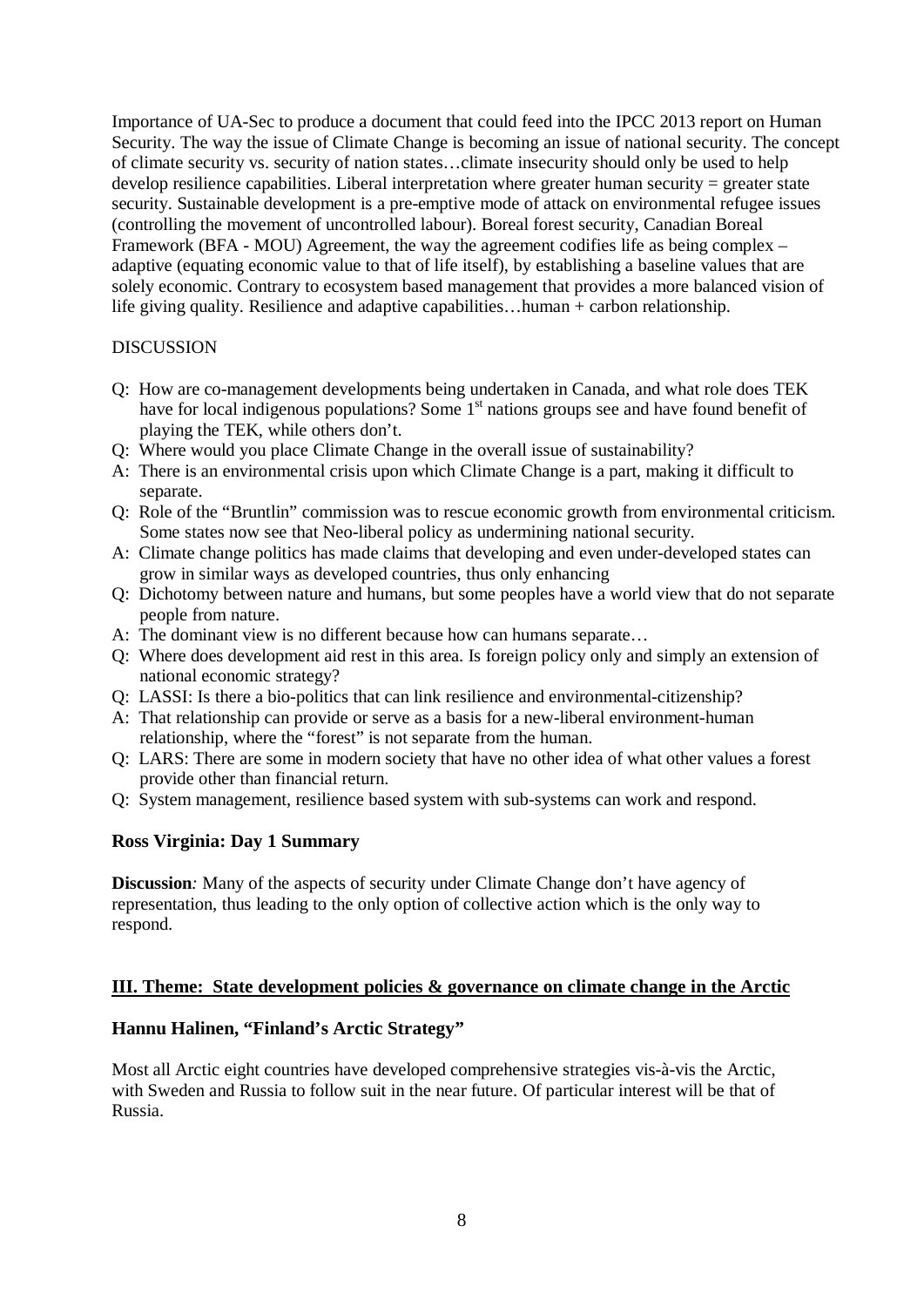Importance of UA-Sec to produce a document that could feed into the IPCC 2013 report on Human Security. The way the issue of Climate Change is becoming an issue of national security. The concept of climate security vs. security of nation states…climate insecurity should only be used to help develop resilience capabilities. Liberal interpretation where greater human security = greater state security. Sustainable development is a pre-emptive mode of attack on environmental refugee issues (controlling the movement of uncontrolled labour). Boreal forest security, Canadian Boreal Framework (BFA - MOU) Agreement, the way the agreement codifies life as being complex – adaptive (equating economic value to that of life itself), by establishing a baseline values that are solely economic. Contrary to ecosystem based management that provides a more balanced vision of life giving quality. Resilience and adaptive capabilities…human + carbon relationship.

#### DISCUSSION

- Q: How are co-management developments being undertaken in Canada, and what role does TEK have for local indigenous populations? Some 1<sup>st</sup> nations groups see and have found benefit of playing the TEK, while others don't.
- Q: Where would you place Climate Change in the overall issue of sustainability?
- A: There is an environmental crisis upon which Climate Change is a part, making it difficult to separate.
- Q: Role of the "Bruntlin" commission was to rescue economic growth from environmental criticism. Some states now see that Neo-liberal policy as undermining national security.
- A: Climate change politics has made claims that developing and even under-developed states can grow in similar ways as developed countries, thus only enhancing
- Q: Dichotomy between nature and humans, but some peoples have a world view that do not separate people from nature.
- A: The dominant view is no different because how can humans separate…
- Q: Where does development aid rest in this area. Is foreign policy only and simply an extension of national economic strategy?
- Q: LASSI: Is there a bio-politics that can link resilience and environmental-citizenship?
- A: That relationship can provide or serve as a basis for a new-liberal environment-human relationship, where the "forest" is not separate from the human.
- Q: LARS: There are some in modern society that have no other idea of what other values a forest provide other than financial return.
- Q: System management, resilience based system with sub-systems can work and respond.

#### **Ross Virginia: Day 1 Summary**

**Discussion**: Many of the aspects of security under Climate Change don't have agency of representation, thus leading to the only option of collective action which is the only way to respond.

#### **III. Theme: State development policies & governance on climate change in the Arctic**

#### **Hannu Halinen, "Finland's Arctic Strategy"**

Most all Arctic eight countries have developed comprehensive strategies vis-à-vis the Arctic, with Sweden and Russia to follow suit in the near future. Of particular interest will be that of Russia.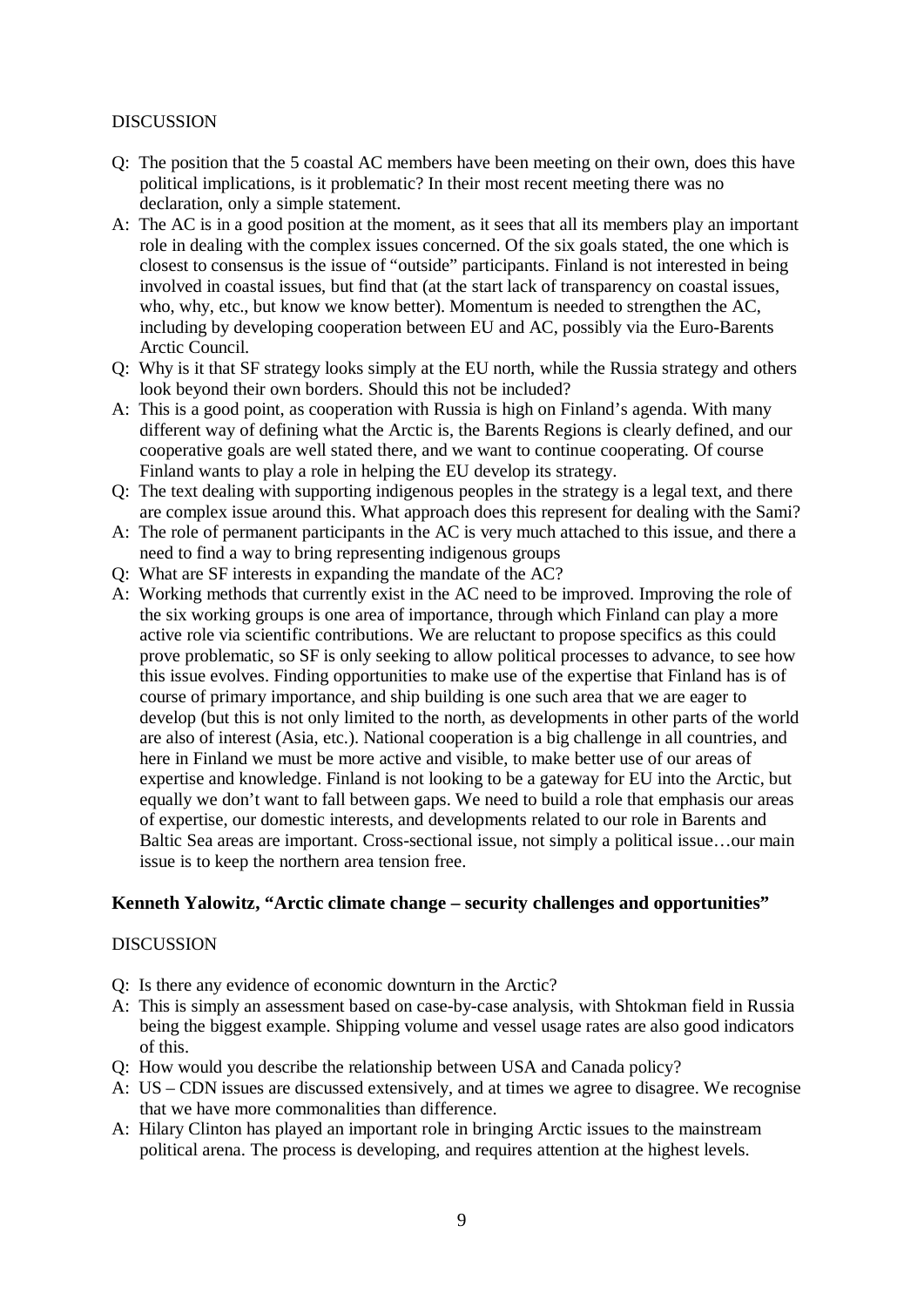#### **DISCUSSION**

- Q: The position that the 5 coastal AC members have been meeting on their own, does this have political implications, is it problematic? In their most recent meeting there was no declaration, only a simple statement.
- A: The AC is in a good position at the moment, as it sees that all its members play an important role in dealing with the complex issues concerned. Of the six goals stated, the one which is closest to consensus is the issue of "outside" participants. Finland is not interested in being involved in coastal issues, but find that (at the start lack of transparency on coastal issues, who, why, etc., but know we know better). Momentum is needed to strengthen the AC, including by developing cooperation between EU and AC, possibly via the Euro-Barents Arctic Council.
- Q: Why is it that SF strategy looks simply at the EU north, while the Russia strategy and others look beyond their own borders. Should this not be included?
- A: This is a good point, as cooperation with Russia is high on Finland's agenda. With many different way of defining what the Arctic is, the Barents Regions is clearly defined, and our cooperative goals are well stated there, and we want to continue cooperating. Of course Finland wants to play a role in helping the EU develop its strategy.
- Q: The text dealing with supporting indigenous peoples in the strategy is a legal text, and there are complex issue around this. What approach does this represent for dealing with the Sami?
- A: The role of permanent participants in the AC is very much attached to this issue, and there a need to find a way to bring representing indigenous groups
- Q: What are SF interests in expanding the mandate of the AC?
- A: Working methods that currently exist in the AC need to be improved. Improving the role of the six working groups is one area of importance, through which Finland can play a more active role via scientific contributions. We are reluctant to propose specifics as this could prove problematic, so SF is only seeking to allow political processes to advance, to see how this issue evolves. Finding opportunities to make use of the expertise that Finland has is of course of primary importance, and ship building is one such area that we are eager to develop (but this is not only limited to the north, as developments in other parts of the world are also of interest (Asia, etc.). National cooperation is a big challenge in all countries, and here in Finland we must be more active and visible, to make better use of our areas of expertise and knowledge. Finland is not looking to be a gateway for EU into the Arctic, but equally we don't want to fall between gaps. We need to build a role that emphasis our areas of expertise, our domestic interests, and developments related to our role in Barents and Baltic Sea areas are important. Cross-sectional issue, not simply a political issue…our main issue is to keep the northern area tension free.

#### **Kenneth Yalowitz, "Arctic climate change – security challenges and opportunities"**

#### DISCUSSION

- Q: Is there any evidence of economic downturn in the Arctic?
- A: This is simply an assessment based on case-by-case analysis, with Shtokman field in Russia being the biggest example. Shipping volume and vessel usage rates are also good indicators of this.
- Q: How would you describe the relationship between USA and Canada policy?
- A: US CDN issues are discussed extensively, and at times we agree to disagree. We recognise that we have more commonalities than difference.
- A: Hilary Clinton has played an important role in bringing Arctic issues to the mainstream political arena. The process is developing, and requires attention at the highest levels.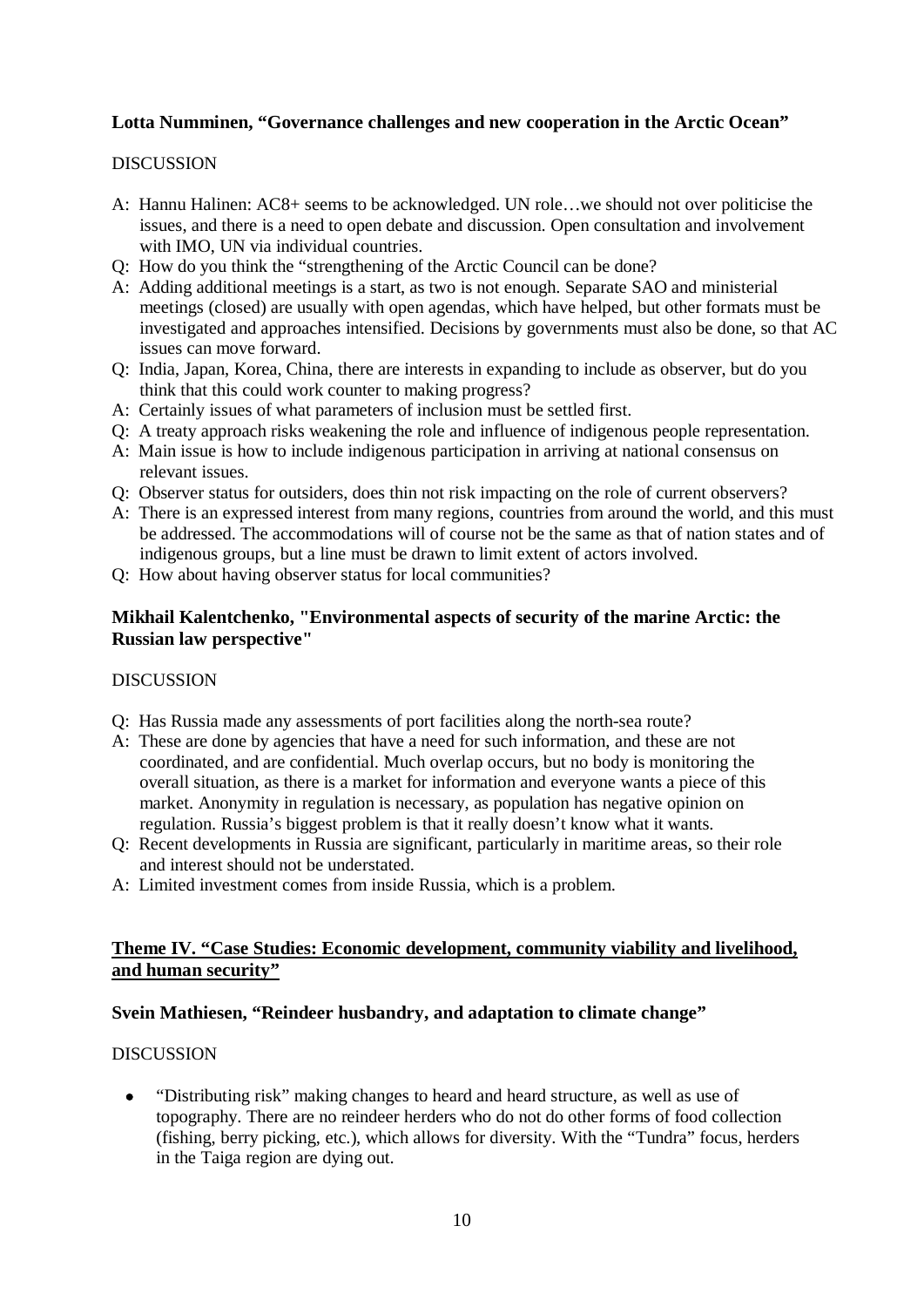# **Lotta Numminen, "Governance challenges and new cooperation in the Arctic Ocean"**

#### DISCUSSION

- A: Hannu Halinen: AC8+ seems to be acknowledged. UN role…we should not over politicise the issues, and there is a need to open debate and discussion. Open consultation and involvement with IMO, UN via individual countries.
- Q: How do you think the "strengthening of the Arctic Council can be done?
- A: Adding additional meetings is a start, as two is not enough. Separate SAO and ministerial meetings (closed) are usually with open agendas, which have helped, but other formats must be investigated and approaches intensified. Decisions by governments must also be done, so that AC issues can move forward.
- Q: India, Japan, Korea, China, there are interests in expanding to include as observer, but do you think that this could work counter to making progress?
- A: Certainly issues of what parameters of inclusion must be settled first.
- Q: A treaty approach risks weakening the role and influence of indigenous people representation.
- A: Main issue is how to include indigenous participation in arriving at national consensus on relevant issues.
- Q: Observer status for outsiders, does thin not risk impacting on the role of current observers?
- A: There is an expressed interest from many regions, countries from around the world, and this must be addressed. The accommodations will of course not be the same as that of nation states and of indigenous groups, but a line must be drawn to limit extent of actors involved.
- Q: How about having observer status for local communities?

### **Mikhail Kalentchenko, "Environmental aspects of security of the marine Arctic: the Russian law perspective"**

#### DISCUSSION

- Q: Has Russia made any assessments of port facilities along the north-sea route?
- A: These are done by agencies that have a need for such information, and these are not coordinated, and are confidential. Much overlap occurs, but no body is monitoring the overall situation, as there is a market for information and everyone wants a piece of this market. Anonymity in regulation is necessary, as population has negative opinion on regulation. Russia's biggest problem is that it really doesn't know what it wants.
- Q: Recent developments in Russia are significant, particularly in maritime areas, so their role and interest should not be understated.
- A: Limited investment comes from inside Russia, which is a problem.

# **Theme IV. "Case Studies: Economic development, community viability and livelihood, and human security"**

# **Svein Mathiesen, "Reindeer husbandry, and adaptation to climate change"**

# DISCUSSION

• "Distributing risk" making changes to heard and heard structure, as well as use of topography. There are no reindeer herders who do not do other forms of food collection (fishing, berry picking, etc.), which allows for diversity. With the "Tundra" focus, herders in the Taiga region are dying out.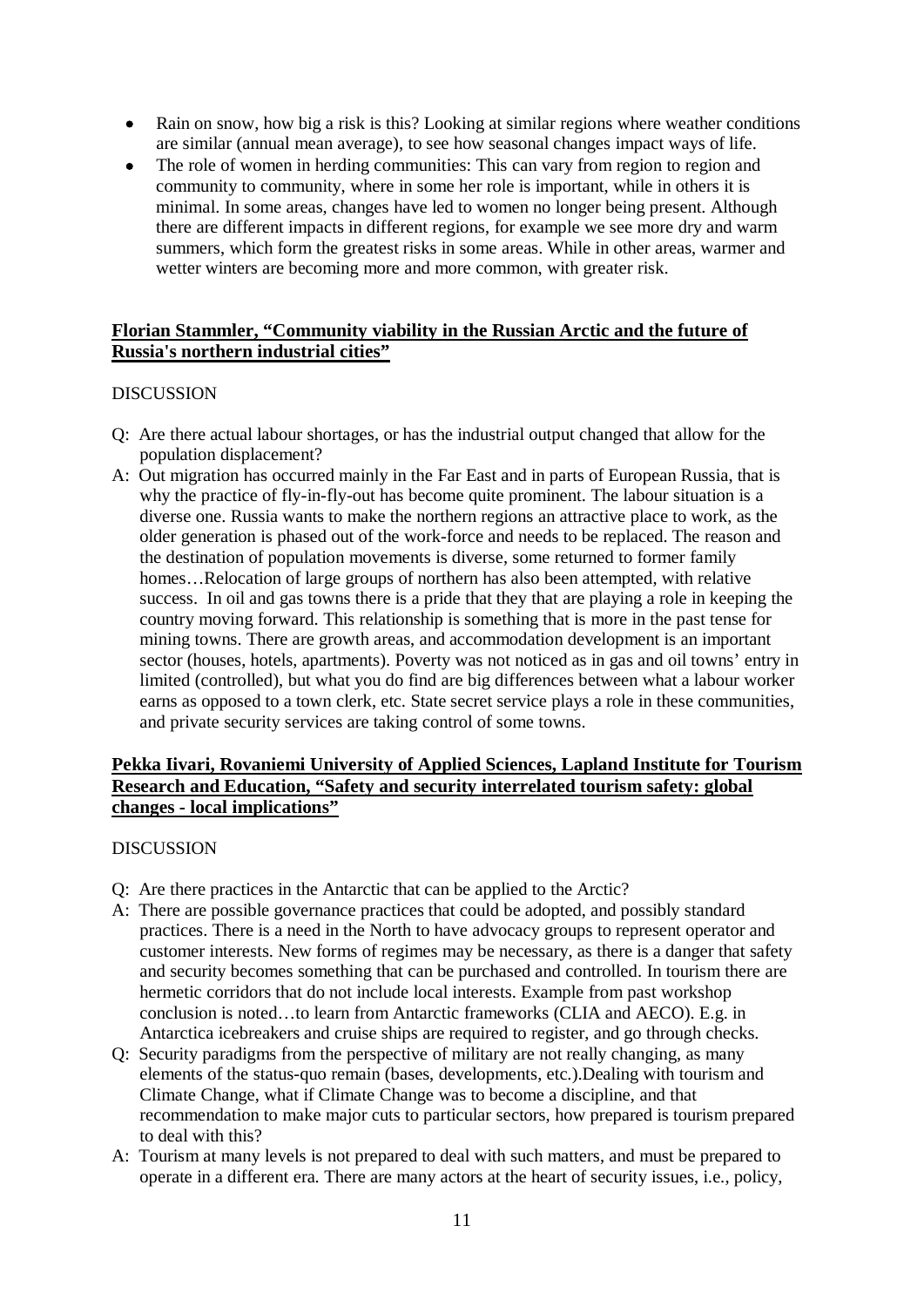- Rain on snow, how big a risk is this? Looking at similar regions where weather conditions are similar (annual mean average), to see how seasonal changes impact ways of life.
- The role of women in herding communities: This can vary from region to region and community to community, where in some her role is important, while in others it is minimal. In some areas, changes have led to women no longer being present. Although there are different impacts in different regions, for example we see more dry and warm summers, which form the greatest risks in some areas. While in other areas, warmer and wetter winters are becoming more and more common, with greater risk.

# **Florian Stammler, "Community viability in the Russian Arctic and the future of Russia's northern industrial cities"**

### DISCUSSION

- Q: Are there actual labour shortages, or has the industrial output changed that allow for the population displacement?
- A: Out migration has occurred mainly in the Far East and in parts of European Russia, that is why the practice of fly-in-fly-out has become quite prominent. The labour situation is a diverse one. Russia wants to make the northern regions an attractive place to work, as the older generation is phased out of the work-force and needs to be replaced. The reason and the destination of population movements is diverse, some returned to former family homes...Relocation of large groups of northern has also been attempted, with relative success. In oil and gas towns there is a pride that they that are playing a role in keeping the country moving forward. This relationship is something that is more in the past tense for mining towns. There are growth areas, and accommodation development is an important sector (houses, hotels, apartments). Poverty was not noticed as in gas and oil towns' entry in limited (controlled), but what you do find are big differences between what a labour worker earns as opposed to a town clerk, etc. State secret service plays a role in these communities, and private security services are taking control of some towns.

### **Pekka Iivari, Rovaniemi University of Applied Sciences, Lapland Institute for Tourism Research and Education, "Safety and security interrelated tourism safety: global changes - local implications"**

#### DISCUSSION

- Q: Are there practices in the Antarctic that can be applied to the Arctic?
- A: There are possible governance practices that could be adopted, and possibly standard practices. There is a need in the North to have advocacy groups to represent operator and customer interests. New forms of regimes may be necessary, as there is a danger that safety and security becomes something that can be purchased and controlled. In tourism there are hermetic corridors that do not include local interests. Example from past workshop conclusion is noted…to learn from Antarctic frameworks (CLIA and AECO). E.g. in Antarctica icebreakers and cruise ships are required to register, and go through checks.
- Q: Security paradigms from the perspective of military are not really changing, as many elements of the status-quo remain (bases, developments, etc.).Dealing with tourism and Climate Change, what if Climate Change was to become a discipline, and that recommendation to make major cuts to particular sectors, how prepared is tourism prepared to deal with this?
- A: Tourism at many levels is not prepared to deal with such matters, and must be prepared to operate in a different era. There are many actors at the heart of security issues, i.e., policy,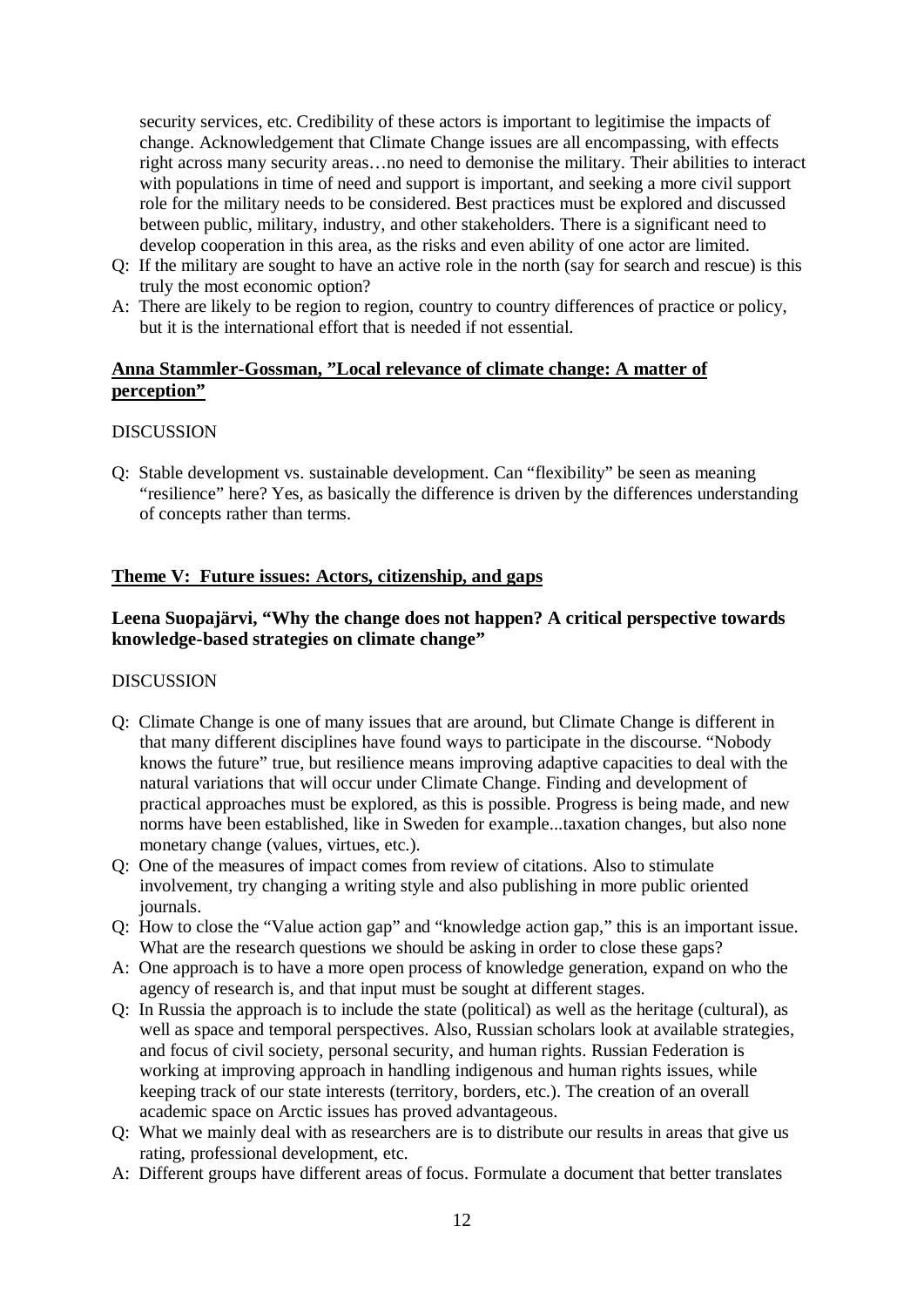security services, etc. Credibility of these actors is important to legitimise the impacts of change. Acknowledgement that Climate Change issues are all encompassing, with effects right across many security areas…no need to demonise the military. Their abilities to interact with populations in time of need and support is important, and seeking a more civil support role for the military needs to be considered. Best practices must be explored and discussed between public, military, industry, and other stakeholders. There is a significant need to develop cooperation in this area, as the risks and even ability of one actor are limited.

- Q: If the military are sought to have an active role in the north (say for search and rescue) is this truly the most economic option?
- A: There are likely to be region to region, country to country differences of practice or policy, but it is the international effort that is needed if not essential.

#### **Anna Stammler-Gossman, "Local relevance of climate change: A matter of perception"**

#### DISCUSSION

Q: Stable development vs. sustainable development. Can "flexibility" be seen as meaning "resilience" here? Yes, as basically the difference is driven by the differences understanding of concepts rather than terms.

### **Theme V: Future issues: Actors, citizenship, and gaps**

# **Leena Suopajärvi, "Why the change does not happen? A critical perspective towards knowledge-based strategies on climate change"**

#### **DISCUSSION**

- Q: Climate Change is one of many issues that are around, but Climate Change is different in that many different disciplines have found ways to participate in the discourse. "Nobody knows the future" true, but resilience means improving adaptive capacities to deal with the natural variations that will occur under Climate Change. Finding and development of practical approaches must be explored, as this is possible. Progress is being made, and new norms have been established, like in Sweden for example...taxation changes, but also none monetary change (values, virtues, etc.).
- Q: One of the measures of impact comes from review of citations. Also to stimulate involvement, try changing a writing style and also publishing in more public oriented journals.
- Q: How to close the "Value action gap" and "knowledge action gap," this is an important issue. What are the research questions we should be asking in order to close these gaps?
- A: One approach is to have a more open process of knowledge generation, expand on who the agency of research is, and that input must be sought at different stages.
- Q: In Russia the approach is to include the state (political) as well as the heritage (cultural), as well as space and temporal perspectives. Also, Russian scholars look at available strategies, and focus of civil society, personal security, and human rights. Russian Federation is working at improving approach in handling indigenous and human rights issues, while keeping track of our state interests (territory, borders, etc.). The creation of an overall academic space on Arctic issues has proved advantageous.
- Q: What we mainly deal with as researchers are is to distribute our results in areas that give us rating, professional development, etc.
- A: Different groups have different areas of focus. Formulate a document that better translates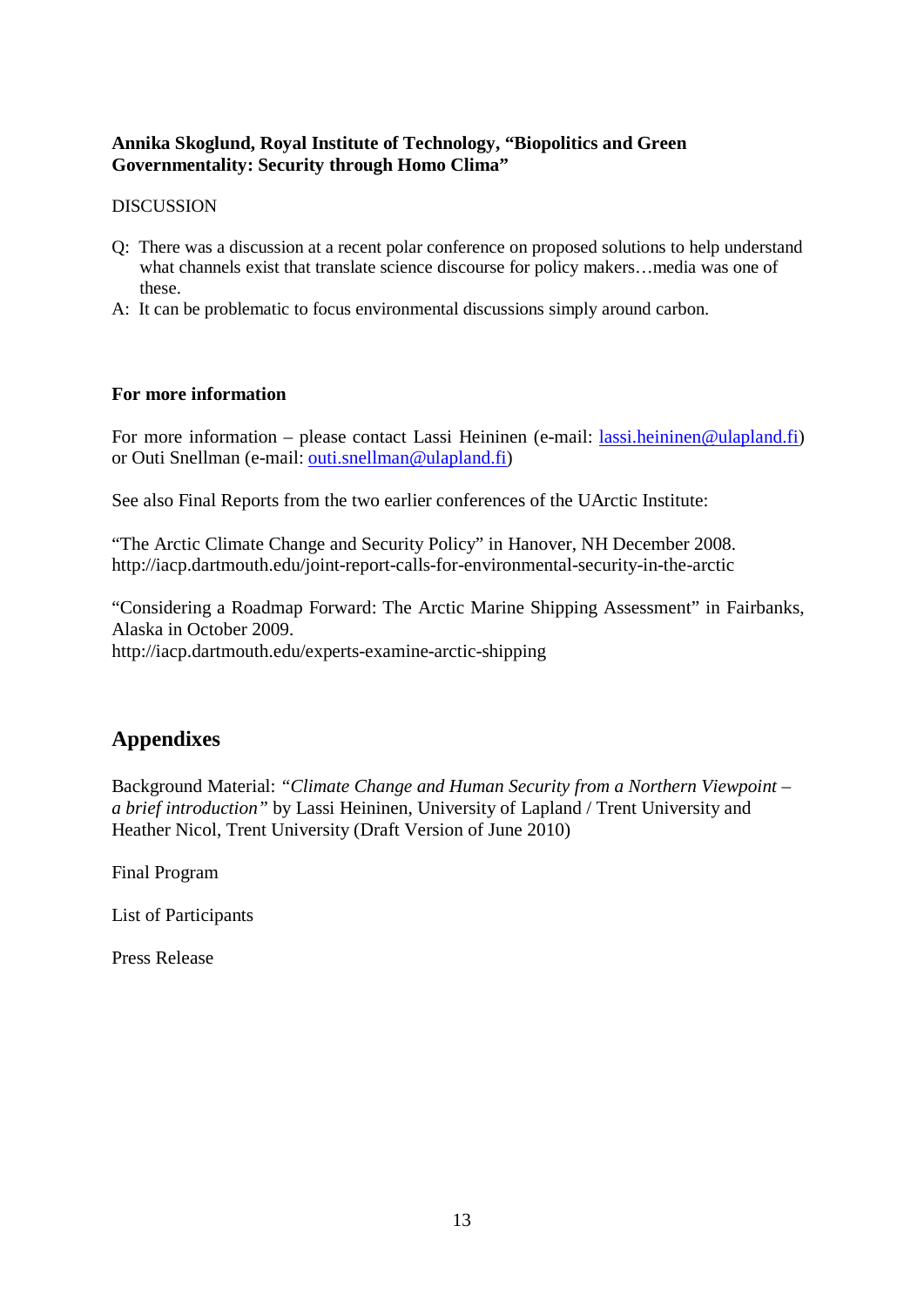# **Annika Skoglund, Royal Institute of Technology, "Biopolitics and Green Governmentality: Security through Homo Clima"**

#### **DISCUSSION**

- Q: There was a discussion at a recent polar conference on proposed solutions to help understand what channels exist that translate science discourse for policy makers…media was one of these.
- A: It can be problematic to focus environmental discussions simply around carbon.

### **For more information**

For more information – please contact Lassi Heininen (e-mail: [lassi.heininen@ulapland.fi\)](mailto:lassi.heininen@ulapland.fi) or Outi Snellman (e-mail: [outi.snellman@ulapland.fi\)](mailto:outi.snellman@ulapland.fi)

See also Final Reports from the two earlier conferences of the UArctic Institute:

"The Arctic Climate Change and Security Policy" in Hanover, NH December 2008. http://iacp.dartmouth.edu/joint-report-calls-for-environmental-security-in-the-arctic

"Considering a Roadmap Forward: The Arctic Marine Shipping Assessment" in Fairbanks, Alaska in October 2009.

http://iacp.dartmouth.edu/experts-examine-arctic-shipping

# **Appendixes**

Background Material: *"Climate Change and Human Security from a Northern Viewpoint – a brief introduction"* by Lassi Heininen, University of Lapland / Trent University and Heather Nicol, Trent University (Draft Version of June 2010)

Final Program

List of Participants

Press Release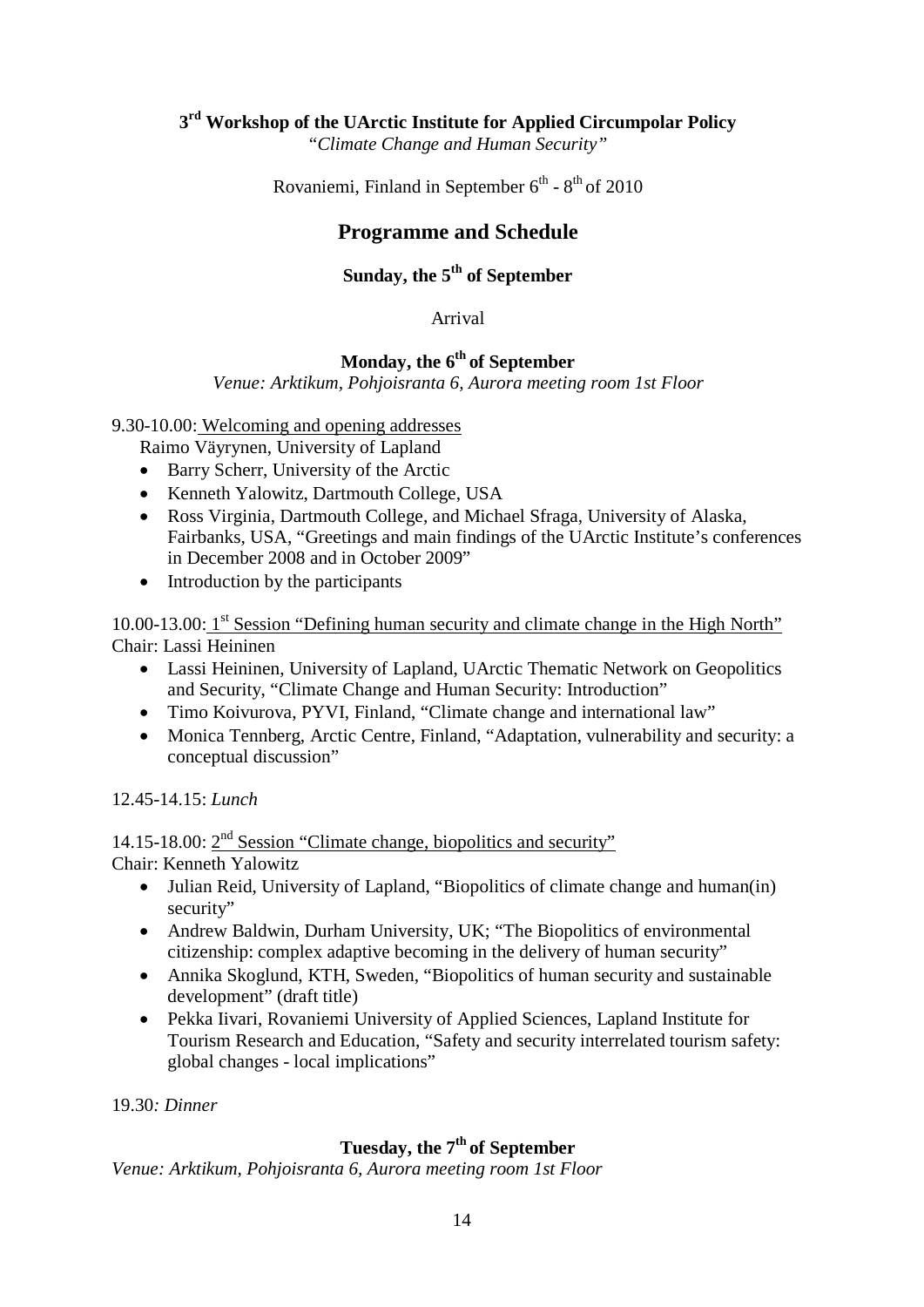# **3rd Workshop of the UArctic Institute for Applied Circumpolar Policy**

"*Climate Change and Human Security"*

Rovaniemi, Finland in September  $6^{th}$  -  $8^{th}$  of 2010

# **Programme and Schedule**

# Sunday, the 5<sup>th</sup> of September

### Arrival

# **Monday, the 6th of September**

*Venue: Arktikum, Pohjoisranta 6, Aurora meeting room 1st Floor*

9.30-10.00: Welcoming and opening addresses

Raimo Väyrynen, University of Lapland

- Barry Scherr, University of the Arctic
- Kenneth Yalowitz, Dartmouth College, USA
- Ross Virginia, Dartmouth College, and Michael Sfraga, University of Alaska, Fairbanks, USA, "Greetings and main findings of the UArctic Institute's conferences in December 2008 and in October 2009"
- Introduction by the participants

10.00-13.00: 1<sup>st</sup> Session "Defining human security and climate change in the High North" Chair: Lassi Heininen

- Lassi Heininen, University of Lapland, UArctic Thematic Network on Geopolitics and Security, "Climate Change and Human Security: Introduction"
- Timo Koivurova, PYVI, Finland, "Climate change and international law"
- Monica Tennberg, Arctic Centre, Finland, "Adaptation, vulnerability and security: a conceptual discussion"

12.45-14.15: *Lunch*

14.15-18.00:  $2<sup>nd</sup>$  Session "Climate change, biopolitics and security" Chair: Kenneth Yalowitz

- Julian Reid, University of Lapland, "Biopolitics of climate change and human(in) security"
- Andrew Baldwin, Durham University, UK; "The Biopolitics of environmental citizenship: complex adaptive becoming in the delivery of human security"
- Annika Skoglund, KTH, Sweden, "Biopolitics of human security and sustainable development" (draft title)
- Pekka Iivari, Rovaniemi University of Applied Sciences, Lapland Institute for Tourism Research and Education, "Safety and security interrelated tourism safety: global changes - local implications"

19.30*: Dinner*

# Tuesday, the 7<sup>th</sup> of September

*Venue: Arktikum, Pohjoisranta 6, Aurora meeting room 1st Floor*